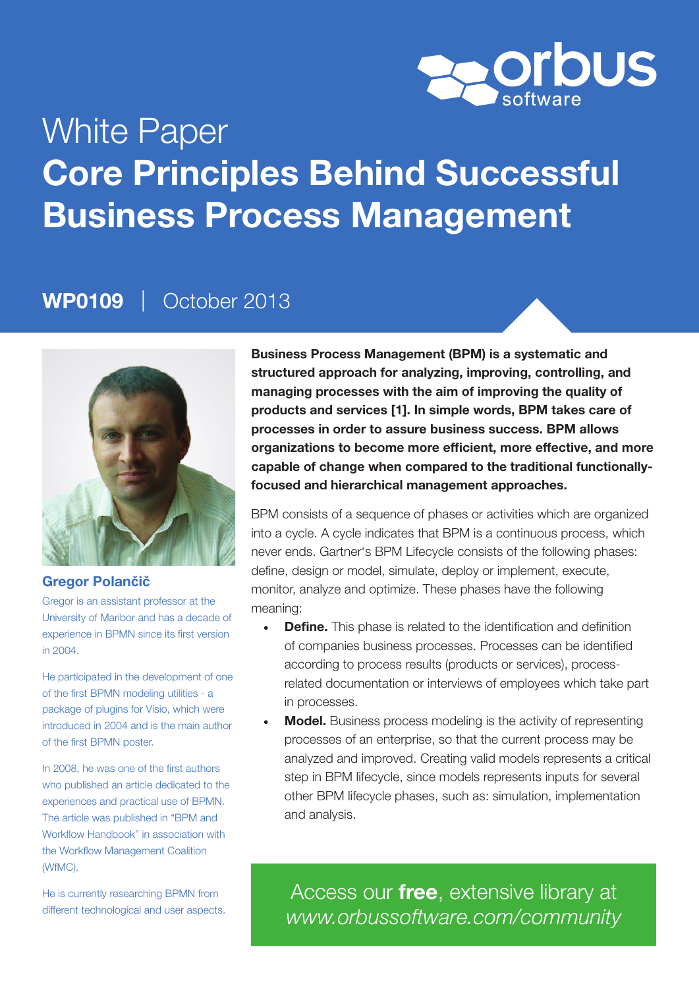

# White Paper Core Principles Behind Successful Business Process Management

### WP0109 | October 2013



#### Gregor Polan**č**i**č**

Gregor is an assistant professor at the University of Maribor and has a decade of experience in BPMN since its first version in 2004.

He participated in the development of one of the first BPMN modeling utilities - a package of plugins for Visio, which were introduced in 2004 and is the main author of the first BPMN poster.

In 2008, he was one of the first authors who published an article dedicated to the experiences and practical use of BPMN. The article was published in "BPM and Workflow Handbook" in association with the Workflow Management Coalition (WfMC).

He is currently researching BPMN from different technological and user aspects.

Business Process Management (BPM) is a systematic and structured approach for analyzing, improving, controlling, and managing processes with the aim of improving the quality of products and services [1]. In simple words, BPM takes care of processes in order to assure business success. BPM allows organizations to become more efficient, more effective, and more capable of change when compared to the traditional functionallyfocused and hierarchical management approaches.

BPM consists of a sequence of phases or activities which are organized into a cycle. A cycle indicates that BPM is a continuous process, which never ends. Gartner's BPM Lifecycle consists of the following phases: define, design or model, simulate, deploy or implement, execute, monitor, analyze and optimize. These phases have the following meaning:

- Define. This phase is related to the identification and definition of companies business processes. Processes can be identified according to process results (products or services), processrelated documentation or interviews of employees which take part in processes.
- **Model.** Business process modeling is the activity of representing processes of an enterprise, so that the current process may be analyzed and improved. Creating valid models represents a critical step in BPM lifecycle, since models represents inputs for several other BPM lifecycle phases, such as: simulation, implementation and analysis.

Access our *free*, extensive library at *www.orbussoftware.com/community*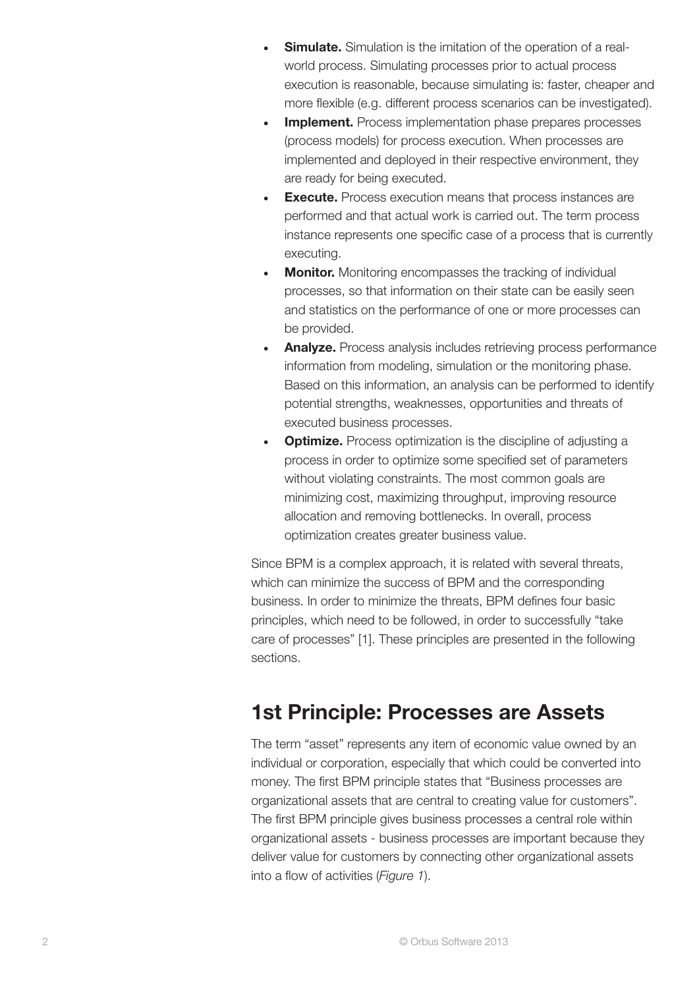- Simulate. Simulation is the imitation of the operation of a realworld process. Simulating processes prior to actual process execution is reasonable, because simulating is: faster, cheaper and more flexible (e.g. different process scenarios can be investigated).
- **Implement.** Process implementation phase prepares processes (process models) for process execution. When processes are implemented and deployed in their respective environment, they are ready for being executed.
- **Execute.** Process execution means that process instances are performed and that actual work is carried out. The term process instance represents one specific case of a process that is currently executing.
- **Monitor.** Monitoring encompasses the tracking of individual processes, so that information on their state can be easily seen and statistics on the performance of one or more processes can be provided.
- Analyze. Process analysis includes retrieving process performance information from modeling, simulation or the monitoring phase. Based on this information, an analysis can be performed to identify potential strengths, weaknesses, opportunities and threats of executed business processes.
- **Optimize.** Process optimization is the discipline of adjusting a process in order to optimize some specified set of parameters without violating constraints. The most common goals are minimizing cost, maximizing throughput, improving resource allocation and removing bottlenecks. In overall, process optimization creates greater business value.

Since BPM is a complex approach, it is related with several threats, which can minimize the success of BPM and the corresponding business. In order to minimize the threats, BPM defines four basic principles, which need to be followed, in order to successfully "take care of processes" [1]. These principles are presented in the following sections.

## 1st Principle: Processes are Assets

The term "asset" represents any item of economic value owned by an individual or corporation, especially that which could be converted into money. The first BPM principle states that "Business processes are organizational assets that are central to creating value for customers". The first BPM principle gives business processes a central role within organizational assets - business processes are important because they deliver value for customers by connecting other organizational assets into a flow of activities (*Figure 1*).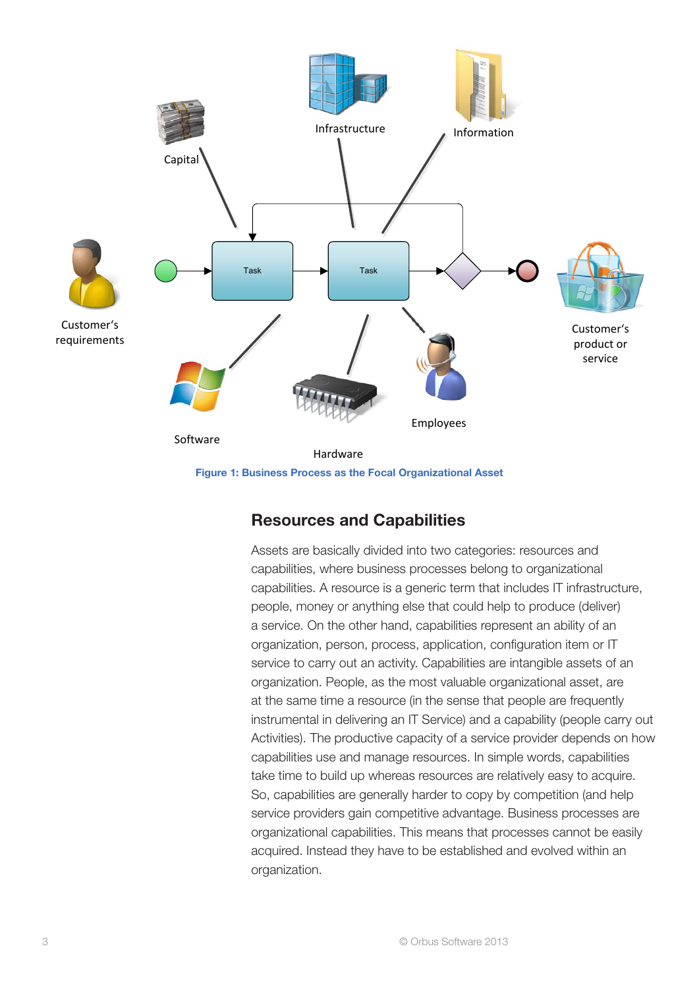

#### Resources and Capabilities

Assets are basically divided into two categories: resources and capabilities, where business processes belong to organizational capabilities. A resource is a generic term that includes IT infrastructure, people, money or anything else that could help to produce (deliver) a service. On the other hand, capabilities represent an ability of an organization, person, process, application, configuration item or IT service to carry out an activity. Capabilities are intangible assets of an organization. People, as the most valuable organizational asset, are at the same time a resource (in the sense that people are frequently instrumental in delivering an IT Service) and a capability (people carry out Activities). The productive capacity of a service provider depends on how capabilities use and manage resources. In simple words, capabilities take time to build up whereas resources are relatively easy to acquire. So, capabilities are generally harder to copy by competition (and help service providers gain competitive advantage. Business processes are organizational capabilities. This means that processes cannot be easily acquired. Instead they have to be established and evolved within an organization.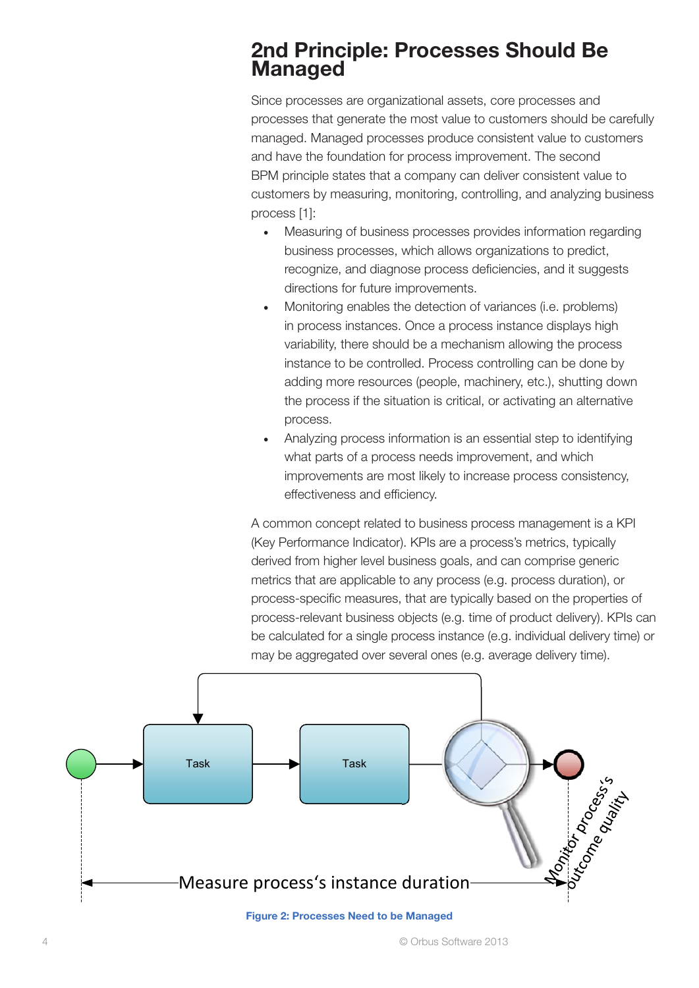### 2nd Principle: Processes Should Be Managed

Since processes are organizational assets, core processes and processes that generate the most value to customers should be carefully managed. Managed processes produce consistent value to customers and have the foundation for process improvement. The second BPM principle states that a company can deliver consistent value to customers by measuring, monitoring, controlling, and analyzing business process [1]:

- Measuring of business processes provides information regarding business processes, which allows organizations to predict, recognize, and diagnose process deficiencies, and it suggests directions for future improvements.
- Monitoring enables the detection of variances (i.e. problems) in process instances. Once a process instance displays high variability, there should be a mechanism allowing the process instance to be controlled. Process controlling can be done by adding more resources (people, machinery, etc.), shutting down the process if the situation is critical, or activating an alternative process.
- Analyzing process information is an essential step to identifying what parts of a process needs improvement, and which improvements are most likely to increase process consistency, effectiveness and efficiency.

A common concept related to business process management is a KPI (Key Performance Indicator). KPIs are a process's metrics, typically derived from higher level business goals, and can comprise generic metrics that are applicable to any process (e.g. process duration), or process-specific measures, that are typically based on the properties of process-relevant business objects (e.g. time of product delivery). KPIs can be calculated for a single process instance (e.g. individual delivery time) or may be aggregated over several ones (e.g. average delivery time).



#### Figure 2: Processes Need to be Managed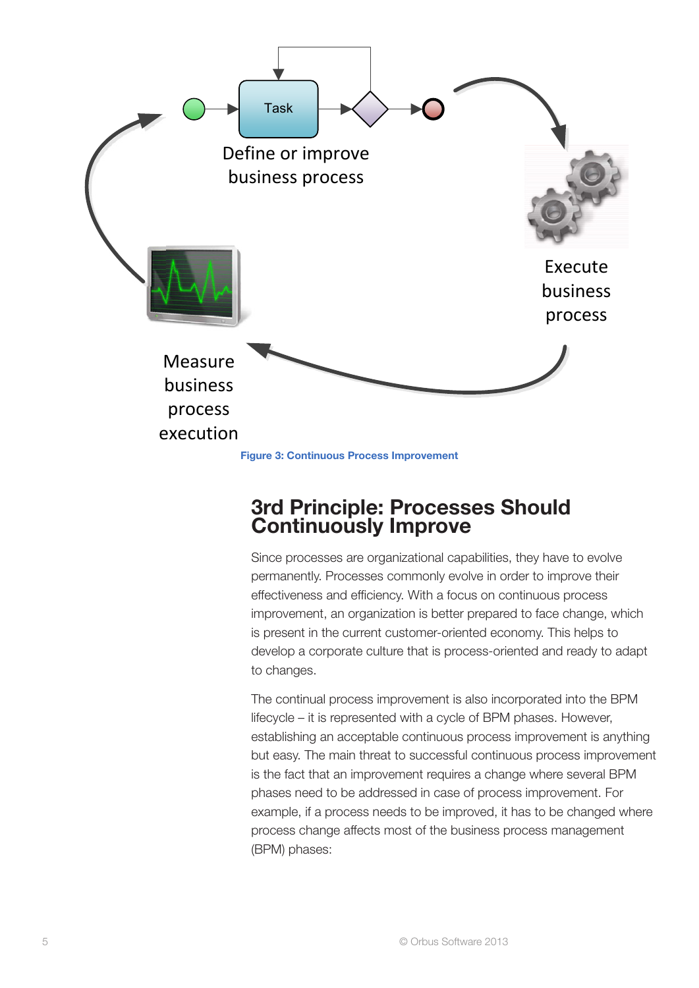

### 3rd Principle: Processes Should **Continuously Improve**

Since processes are organizational capabilities, they have to evolve permanently. Processes commonly evolve in order to improve their effectiveness and efficiency. With a focus on continuous process improvement, an organization is better prepared to face change, which is present in the current customer-oriented economy. This helps to develop a corporate culture that is process-oriented and ready to adapt to changes.

The continual process improvement is also incorporated into the BPM lifecycle – it is represented with a cycle of BPM phases. However, establishing an acceptable continuous process improvement is anything but easy. The main threat to successful continuous process improvement is the fact that an improvement requires a change where several BPM phases need to be addressed in case of process improvement. For example, if a process needs to be improved, it has to be changed where process change affects most of the business process management (BPM) phases: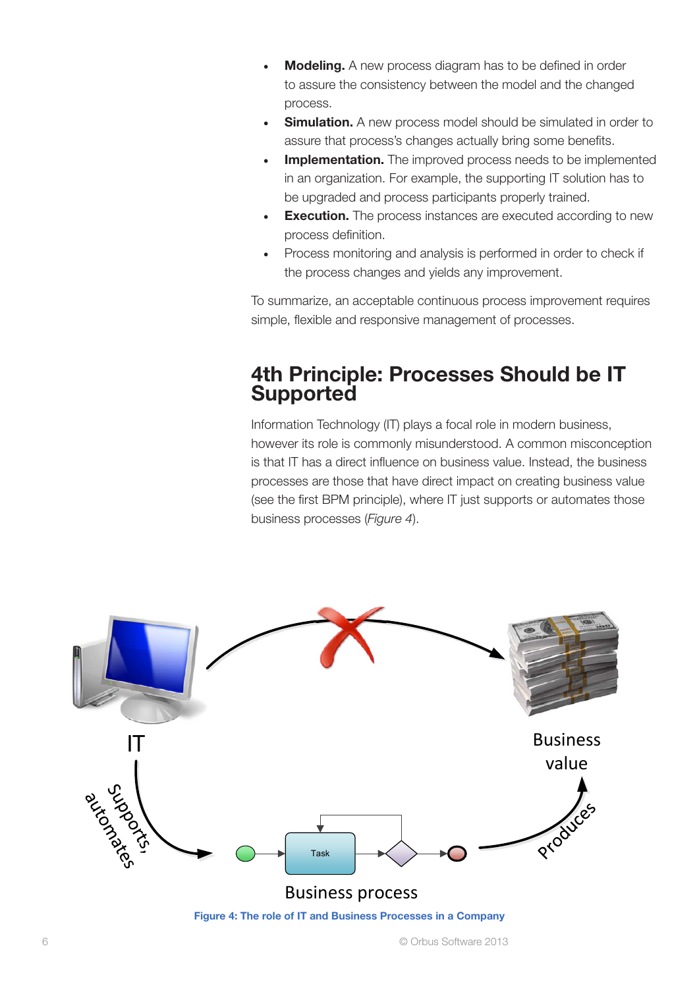- **Modeling.** A new process diagram has to be defined in order to assure the consistency between the model and the changed process.
- **Simulation.** A new process model should be simulated in order to assure that process's changes actually bring some benefits.
- **Implementation.** The improved process needs to be implemented in an organization. For example, the supporting IT solution has to be upgraded and process participants properly trained.
- **Execution.** The process instances are executed according to new process definition.
- Process monitoring and analysis is performed in order to check if the process changes and yields any improvement.

To summarize, an acceptable continuous process improvement requires simple, flexible and responsive management of processes.

### 4th Principle: Processes Should be IT **Supported**

Information Technology (IT) plays a focal role in modern business, however its role is commonly misunderstood. A common misconception is that IT has a direct influence on business value. Instead, the business processes are those that have direct impact on creating business value (see the first BPM principle), where IT just supports or automates those business processes (*Figure 4*).

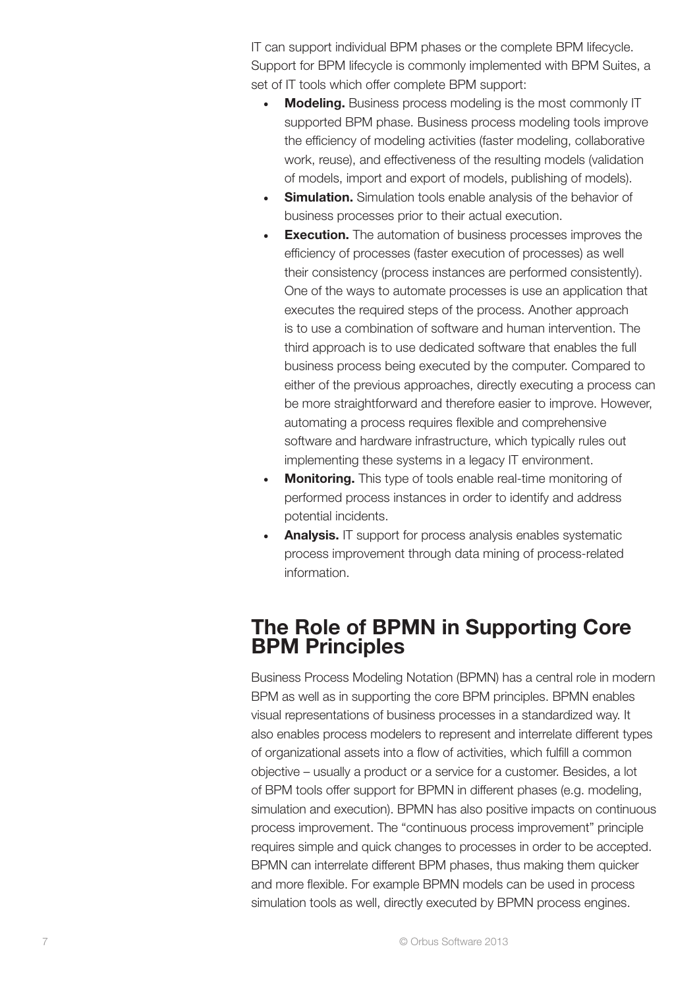IT can support individual BPM phases or the complete BPM lifecycle. Support for BPM lifecycle is commonly implemented with BPM Suites, a set of IT tools which offer complete BPM support:

- **Modeling.** Business process modeling is the most commonly IT supported BPM phase. Business process modeling tools improve the efficiency of modeling activities (faster modeling, collaborative work, reuse), and effectiveness of the resulting models (validation of models, import and export of models, publishing of models).
- **Simulation.** Simulation tools enable analysis of the behavior of business processes prior to their actual execution.
- **Execution.** The automation of business processes improves the efficiency of processes (faster execution of processes) as well their consistency (process instances are performed consistently). One of the ways to automate processes is use an application that executes the required steps of the process. Another approach is to use a combination of software and human intervention. The third approach is to use dedicated software that enables the full business process being executed by the computer. Compared to either of the previous approaches, directly executing a process can be more straightforward and therefore easier to improve. However, automating a process requires flexible and comprehensive software and hardware infrastructure, which typically rules out implementing these systems in a legacy IT environment.
- **Monitoring.** This type of tools enable real-time monitoring of performed process instances in order to identify and address potential incidents.
- Analysis. IT support for process analysis enables systematic process improvement through data mining of process-related information.

### The Role of BPMN in Supporting Core BPM Principles

Business Process Modeling Notation (BPMN) has a central role in modern BPM as well as in supporting the core BPM principles. BPMN enables visual representations of business processes in a standardized way. It also enables process modelers to represent and interrelate different types of organizational assets into a flow of activities, which fulfill a common objective – usually a product or a service for a customer. Besides, a lot of BPM tools offer support for BPMN in different phases (e.g. modeling, simulation and execution). BPMN has also positive impacts on continuous process improvement. The "continuous process improvement" principle requires simple and quick changes to processes in order to be accepted. BPMN can interrelate different BPM phases, thus making them quicker and more flexible. For example BPMN models can be used in process simulation tools as well, directly executed by BPMN process engines.